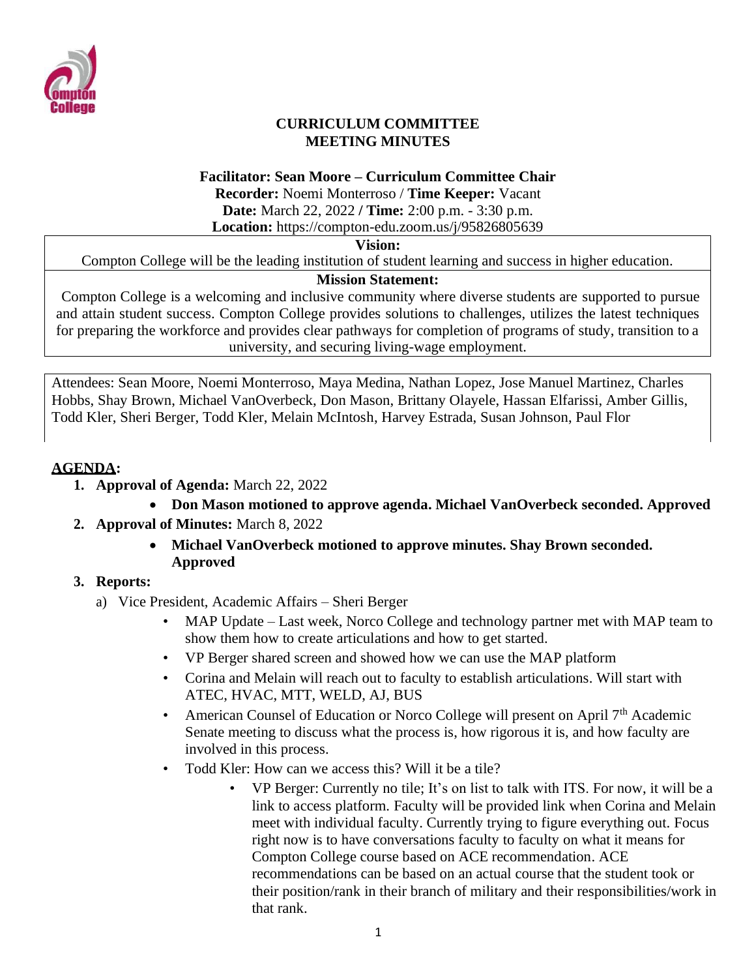

#### **CURRICULUM COMMITTEE MEETING MINUTES**

#### **Facilitator: Sean Moore – Curriculum Committee Chair**

**Recorder:** Noemi Monterroso / **Time Keeper:** Vacant **Date:** March 22, 2022 **/ Time:** 2:00 p.m. - 3:30 p.m.

**Location:** https://compton-edu.zoom.us/j/95826805639

#### **Vision:**

Compton College will be the leading institution of student learning and success in higher education.

# **Mission Statement:**

Compton College is a welcoming and inclusive community where diverse students are supported to pursue and attain student success. Compton College provides solutions to challenges, utilizes the latest techniques for preparing the workforce and provides clear pathways for completion of programs of study, transition to a university, and securing living-wage employment.

Attendees: Sean Moore, Noemi Monterroso, Maya Medina, Nathan Lopez, Jose Manuel Martinez, Charles Hobbs, Shay Brown, Michael VanOverbeck, Don Mason, Brittany Olayele, Hassan Elfarissi, Amber Gillis, Todd Kler, Sheri Berger, Todd Kler, Melain McIntosh, Harvey Estrada, Susan Johnson, Paul Flor

#### **AGENDA:**

- **1. Approval of Agenda:** March 22, 2022
- **Don Mason motioned to approve agenda. Michael VanOverbeck seconded. Approved 2. Approval of Minutes:** March 8, 2022
	- **Michael VanOverbeck motioned to approve minutes. Shay Brown seconded. Approved**

# **3. Reports:**

- a) Vice President, Academic Affairs Sheri Berger
	- MAP Update Last week, Norco College and technology partner met with MAP team to show them how to create articulations and how to get started.
	- VP Berger shared screen and showed how we can use the MAP platform
	- Corina and Melain will reach out to faculty to establish articulations. Will start with ATEC, HVAC, MTT, WELD, AJ, BUS
	- American Counsel of Education or Norco College will present on April 7<sup>th</sup> Academic Senate meeting to discuss what the process is, how rigorous it is, and how faculty are involved in this process.
	- Todd Kler: How can we access this? Will it be a tile?
		- VP Berger: Currently no tile; It's on list to talk with ITS. For now, it will be a link to access platform. Faculty will be provided link when Corina and Melain meet with individual faculty. Currently trying to figure everything out. Focus right now is to have conversations faculty to faculty on what it means for Compton College course based on ACE recommendation. ACE recommendations can be based on an actual course that the student took or their position/rank in their branch of military and their responsibilities/work in that rank.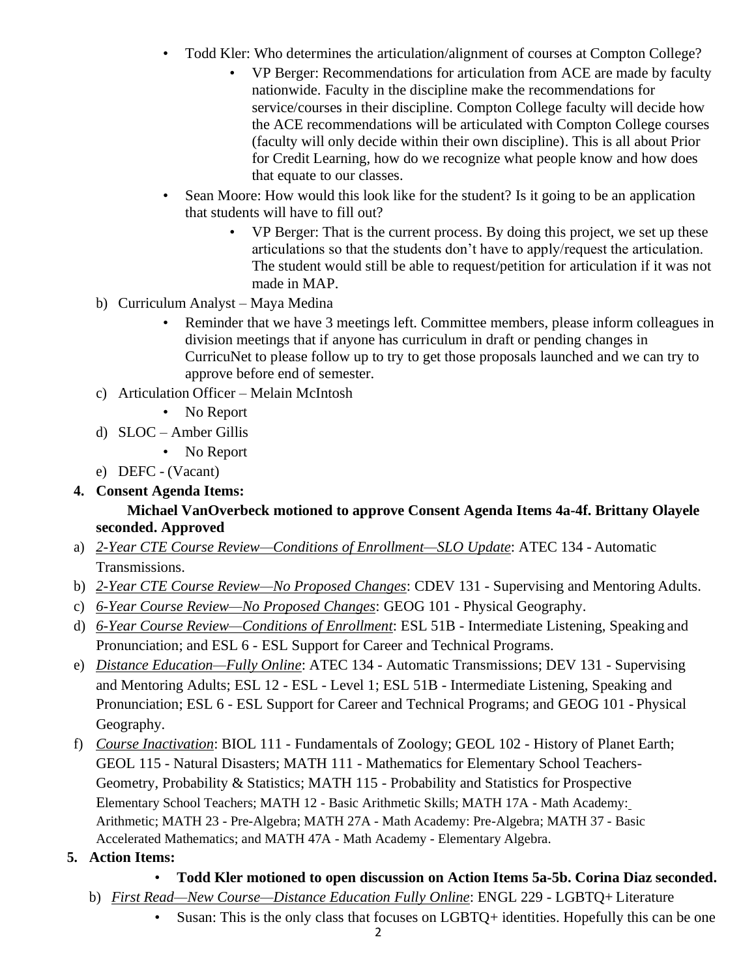- Todd Kler: Who determines the articulation/alignment of courses at Compton College?
	- VP Berger: Recommendations for articulation from ACE are made by faculty nationwide. Faculty in the discipline make the recommendations for service/courses in their discipline. Compton College faculty will decide how the ACE recommendations will be articulated with Compton College courses (faculty will only decide within their own discipline). This is all about Prior for Credit Learning, how do we recognize what people know and how does that equate to our classes.
- Sean Moore: How would this look like for the student? Is it going to be an application that students will have to fill out?
	- VP Berger: That is the current process. By doing this project, we set up these articulations so that the students don't have to apply/request the articulation. The student would still be able to request/petition for articulation if it was not made in MAP.
- b) Curriculum Analyst Maya Medina
	- Reminder that we have 3 meetings left. Committee members, please inform colleagues in division meetings that if anyone has curriculum in draft or pending changes in CurricuNet to please follow up to try to get those proposals launched and we can try to approve before end of semester.
- c) Articulation Officer Melain McIntosh
	- No Report
- d) SLOC Amber Gillis
	- No Report
- e) DEFC (Vacant)
- **4. Consent Agenda Items:**

#### **Michael VanOverbeck motioned to approve Consent Agenda Items 4a-4f. Brittany Olayele seconded. Approved**

- a) *2-Year CTE Course Review—Conditions of Enrollment—SLO Update*: ATEC 134 Automatic Transmissions.
- b) *2-Year CTE Course Review—No Proposed Changes*: CDEV 131 Supervising and Mentoring Adults.
- c) *6-Year Course Review—No Proposed Changes*: GEOG 101 Physical Geography.
- d) *6-Year Course Review—Conditions of Enrollment*: ESL 51B Intermediate Listening, Speaking and Pronunciation; and ESL 6 - ESL Support for Career and Technical Programs.
- e) *Distance Education—Fully Online*: ATEC 134 Automatic Transmissions; DEV 131 Supervising and Mentoring Adults; ESL 12 - ESL - Level 1; ESL 51B - Intermediate Listening, Speaking and Pronunciation; ESL 6 - ESL Support for Career and Technical Programs; and GEOG 101 - Physical Geography.
- f) *Course Inactivation*: BIOL 111 Fundamentals of Zoology; GEOL 102 History of Planet Earth; GEOL 115 - Natural Disasters; MATH 111 - Mathematics for Elementary School Teachers-Geometry, Probability & Statistics; MATH 115 - Probability and Statistics for Prospective Elementary School Teachers; MATH 12 - Basic Arithmetic Skills; MATH 17A - Math Academy: Arithmetic; MATH 23 - Pre-Algebra; MATH 27A - Math Academy: Pre-Algebra; MATH 37 - Basic Accelerated Mathematics; and MATH 47A - Math Academy - Elementary Algebra.
- **5. Action Items:**
	- **Todd Kler motioned to open discussion on Action Items 5a-5b. Corina Diaz seconded.**
	- b) *First Read—New Course—Distance Education Fully Online*: ENGL 229 LGBTQ+ Literature
		- Susan: This is the only class that focuses on LGBTQ+ identities. Hopefully this can be one